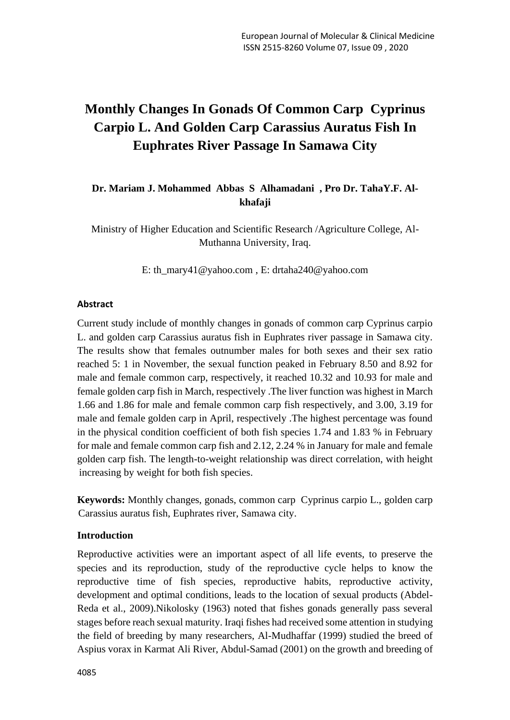# **Monthly Changes In Gonads Of Common Carp Cyprinus Carpio L. And Golden Carp Carassius Auratus Fish In Euphrates River Passage In Samawa City**

# **Dr. Mariam J. Mohammed Abbas S Alhamadani , Pro Dr. TahaY.F. Alkhafaji**

Ministry of Higher Education and Scientific Research /Agriculture College, Al-Muthanna University, Iraq.

E: [th\\_mary41@yahoo.com](mailto:th_mary41@yahoo.com) , E: [drtaha240@yahoo.com](mailto:drtaha240@yahoo.com)

# **Abstract**

Current study include of monthly changes in gonads of common carp Cyprinus carpio L. and golden carp Carassius auratus fish in Euphrates river passage in Samawa city. The results show that females outnumber males for both sexes and their sex ratio reached 5: 1 in November, the sexual function peaked in February 8.50 and 8.92 for male and female common carp, respectively, it reached 10.32 and 10.93 for male and female golden carp fish in March, respectively .The liver function was highest in March 1.66 and 1.86 for male and female common carp fish respectively, and 3.00, 3.19 for male and female golden carp in April, respectively .The highest percentage was found in the physical condition coefficient of both fish species 1.74 and 1.83 % in February for male and female common carp fish and 2.12, 2.24 % in January for male and female golden carp fish. The length-to-weight relationship was direct correlation, with height increasing by weight for both fish species.

**Keywords:** Monthly changes, gonads, common carp Cyprinus carpio L., golden carp Carassius auratus fish, Euphrates river, Samawa city.

# **Introduction**

Reproductive activities were an important aspect of all life events, to preserve the species and its reproduction, study of the reproductive cycle helps to know the reproductive time of fish species, reproductive habits, reproductive activity, development and optimal conditions, leads to the location of sexual products (Abdel-Reda et al., 2009).Nikolosky (1963) noted that fishes gonads generally pass several stages before reach sexual maturity. Iraqi fishes had received some attention in studying the field of breeding by many researchers, Al-Mudhaffar (1999) studied the breed of Aspius vorax in Karmat Ali River, Abdul-Samad (2001) on the growth and breeding of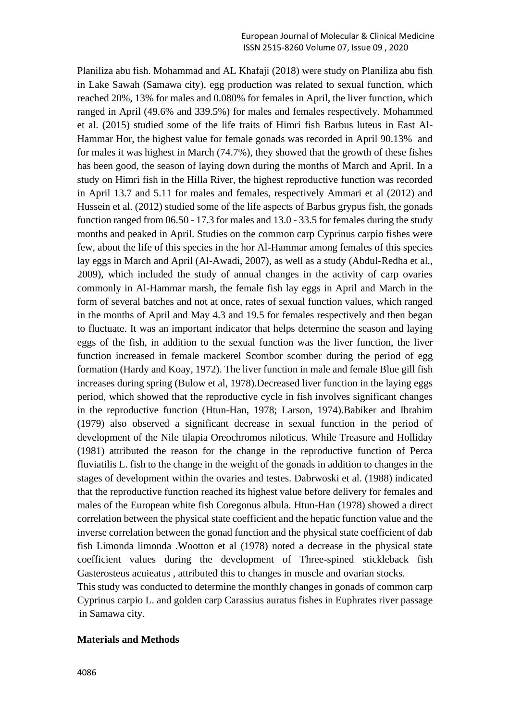Planiliza abu fish. Mohammad and AL Khafaji (2018) were study on Planiliza abu fish in Lake Sawah (Samawa city), egg production was related to sexual function, which reached 20%, 13% for males and 0.080% for females in April, the liver function, which ranged in April (49.6% and 339.5%) for males and females respectively. Mohammed et al. (2015) studied some of the life traits of Himri fish Barbus luteus in East Al-Hammar Hor, the highest value for female gonads was recorded in April 90.13% and for males it was highest in March (74.7%), they showed that the growth of these fishes has been good, the season of laying down during the months of March and April. In a study on Himri fish in the Hilla River, the highest reproductive function was recorded in April 13.7 and 5.11 for males and females, respectively Ammari et al (2012) and Hussein et al. (2012) studied some of the life aspects of Barbus grypus fish, the gonads function ranged from 06.50 - 17.3 for males and 13.0 - 33.5 for females during the study months and peaked in April. Studies on the common carp Cyprinus carpio fishes were few, about the life of this species in the hor Al-Hammar among females of this species lay eggs in March and April (Al-Awadi, 2007), as well as a study (Abdul-Redha et al., 2009), which included the study of annual changes in the activity of carp ovaries commonly in Al-Hammar marsh, the female fish lay eggs in April and March in the form of several batches and not at once, rates of sexual function values, which ranged in the months of April and May 4.3 and 19.5 for females respectively and then began to fluctuate. It was an important indicator that helps determine the season and laying eggs of the fish, in addition to the sexual function was the liver function, the liver function increased in female mackerel Scombor scomber during the period of egg formation (Hardy and Koay, 1972). The liver function in male and female Blue gill fish increases during spring (Bulow et al, 1978).Decreased liver function in the laying eggs period, which showed that the reproductive cycle in fish involves significant changes in the reproductive function (Htun-Han, 1978; Larson, 1974).Babiker and Ibrahim (1979) also observed a significant decrease in sexual function in the period of development of the Nile tilapia Oreochromos niloticus. While Treasure and Holliday (1981) attributed the reason for the change in the reproductive function of Perca fluviatilis L. fish to the change in the weight of the gonads in addition to changes in the stages of development within the ovaries and testes. Dabrwoski et al. (1988) indicated that the reproductive function reached its highest value before delivery for females and males of the European white fish Coregonus albula. Htun-Han (1978) showed a direct correlation between the physical state coefficient and the hepatic function value and the inverse correlation between the gonad function and the physical state coefficient of dab fish Limonda limonda .Wootton et al (1978) noted a decrease in the physical state coefficient values during the development of Three-spined stickleback fish Gasterosteus acuieatus , attributed this to changes in muscle and ovarian stocks. This study was conducted to determine the monthly changes in gonads of common carp

Cyprinus carpio L. and golden carp Carassius auratus fishes in Euphrates river passage in Samawa city.

#### **Materials and Methods**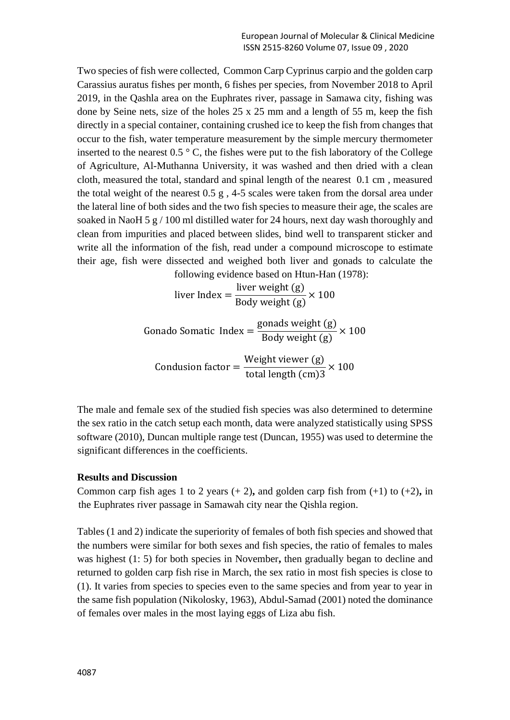Two species of fish were collected, Common Carp Cyprinus carpio and the golden carp Carassius auratus fishes per month, 6 fishes per species, from November 2018 to April 2019, in the Qashla area on the Euphrates river, passage in Samawa city, fishing was done by Seine nets, size of the holes 25 x 25 mm and a length of 55 m, keep the fish directly in a special container, containing crushed ice to keep the fish from changes that occur to the fish, water temperature measurement by the simple mercury thermometer inserted to the nearest  $0.5 \degree$  C, the fishes were put to the fish laboratory of the College of Agriculture, Al-Muthanna University, it was washed and then dried with a clean cloth, measured the total, standard and spinal length of the nearest 0.1 cm , measured the total weight of the nearest 0.5 g , 4-5 scales were taken from the dorsal area under the lateral line of both sides and the two fish species to measure their age, the scales are soaked in NaoH 5 g / 100 ml distilled water for 24 hours, next day wash thoroughly and clean from impurities and placed between slides, bind well to transparent sticker and write all the information of the fish, read under a compound microscope to estimate their age, fish were dissected and weighed both liver and gonads to calculate the following evidence based on Htun-Han (1978):

liver Index = 
$$
\frac{\text{liver weight (g)}}{\text{Body weight (g)}} \times 100
$$

Gonado Somatic Index = 
$$
\frac{\text{gonads weight (g)}}{\text{Body weight (g)}} \times 100
$$

Condusion factor = Weight viewer (g) total length (cm)3  $\times$  100

The male and female sex of the studied fish species was also determined to determine the sex ratio in the catch setup each month, data were analyzed statistically using SPSS software (2010), Duncan multiple range test (Duncan, 1955) was used to determine the significant differences in the coefficients.

# **Results and Discussion**

Common carp fish ages 1 to 2 years  $(+ 2)$ , and golden carp fish from  $(+1)$  to  $(+2)$ , in the Euphrates river passage in Samawah city near the Qishla region.

Tables (1 and 2) indicate the superiority of females of both fish species and showed that the numbers were similar for both sexes and fish species, the ratio of females to males was highest (1: 5) for both species in November**,** then gradually began to decline and returned to golden carp fish rise in March, the sex ratio in most fish species is close to (1). It varies from species to species even to the same species and from year to year in the same fish population (Nikolosky, 1963), Abdul-Samad (2001) noted the dominance of females over males in the most laying eggs of Liza abu fish.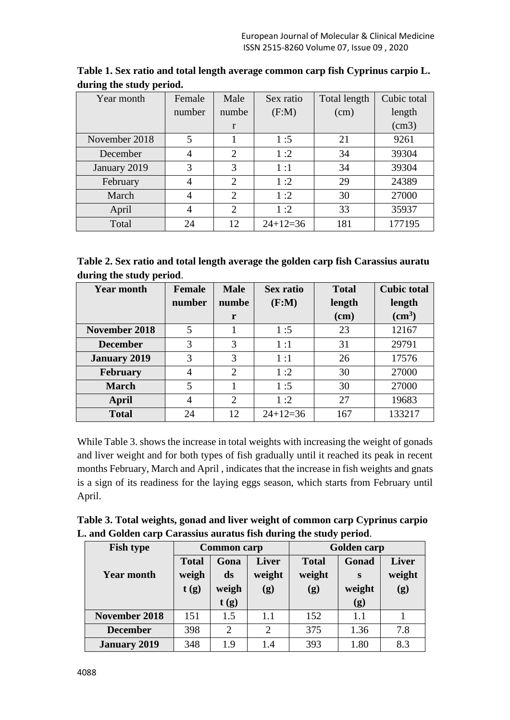| Year month    | Female         | Male           | Sex ratio  | Total length | Cubic total |
|---------------|----------------|----------------|------------|--------------|-------------|
|               | number         | numbe          | (F:M)      | (cm)         | length      |
|               |                | r              |            |              | (cm3)       |
| November 2018 | 5              |                | 1:5        | 21           | 9261        |
| December      | 4              | 2              | 1:2        | 34           | 39304       |
| January 2019  | 3              | 3              | 1:1        | 34           | 39304       |
| February      | $\overline{4}$ | $\overline{2}$ | 1:2        | 29           | 24389       |
| March         | $\overline{4}$ | 2              | 1:2        | 30           | 27000       |
| April         | $\overline{4}$ | 2              | 1:2        | 33           | 35937       |
| Total         | 24             | 12             | $24+12=36$ | 181          | 177195      |

**Table 1. Sex ratio and total length average common carp fish Cyprinus carpio L. during the study period.**

| Table 2. Sex ratio and total length average the golden carp fish Carassius auratu |  |  |
|-----------------------------------------------------------------------------------|--|--|
| during the study period.                                                          |  |  |

| <b>Year month</b>   | Female | <b>Male</b>    | Sex ratio  | <b>Total</b> | <b>Cubic total</b> |
|---------------------|--------|----------------|------------|--------------|--------------------|
|                     | number | numbe          | (F:M)      | length       | length             |
|                     |        | r              |            | (cm)         | (cm <sup>3</sup> ) |
| November 2018       | 5      |                | 1:5        | 23           | 12167              |
| <b>December</b>     | 3      | 3              | 1:1        | 31           | 29791              |
| <b>January 2019</b> | 3      | 3              | 1:1        | 26           | 17576              |
| <b>February</b>     | 4      | $\overline{2}$ | 1:2        | 30           | 27000              |
| <b>March</b>        | 5      |                | 1:5        | 30           | 27000              |
| April               | 4      | 2              | 1:2        | 27           | 19683              |
| <b>Total</b>        | 24     | 12             | $24+12=36$ | 167          | 133217             |

While Table 3. shows the increase in total weights with increasing the weight of gonads and liver weight and for both types of fish gradually until it reached its peak in recent months February, March and April , indicates that the increase in fish weights and gnats is a sign of its readiness for the laying eggs season, which starts from February until April.

| Table 3. Total weights, gonad and liver weight of common carp Cyprinus carpio |
|-------------------------------------------------------------------------------|
| L. and Golden carp Carassius auratus fish during the study period.            |

| <b>Fish type</b>    | <b>Common</b> carp    |            |                        | <b>Golden carp</b>     |             |               |
|---------------------|-----------------------|------------|------------------------|------------------------|-------------|---------------|
| <b>Year month</b>   | <b>Total</b><br>weigh | Gona<br>ds | <b>Liver</b><br>weight | <b>Total</b><br>weight | Gonad       | <b>Liver</b>  |
|                     | t(g)                  | weigh      | (g)                    | (g)                    | S<br>weight | weight<br>(g) |
|                     |                       | t(g)       |                        |                        | (g)         |               |
| November 2018       | 151                   | 1.5        | 1.1                    | 152                    | 1.1         |               |
| <b>December</b>     | 398                   | 2          | $\overline{2}$         | 375                    | 1.36        | 7.8           |
| <b>January 2019</b> | 348                   | 1.9        | 1.4                    | 393                    | 1.80        | 8.3           |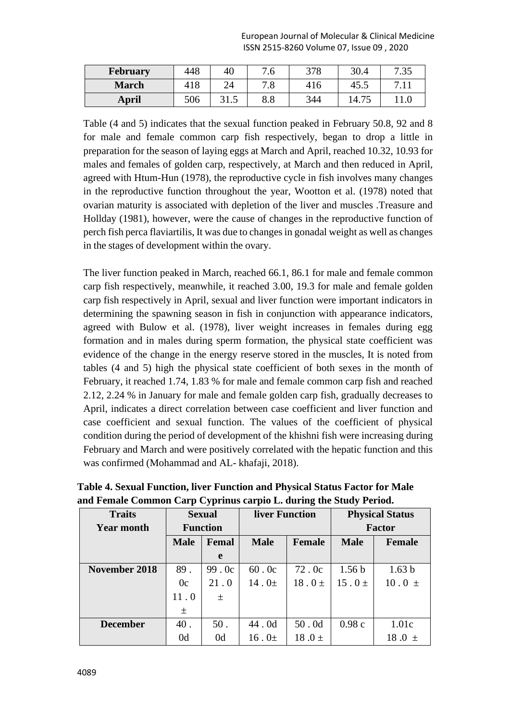| <b>February</b> | 448 | 40                      | 7.6        | 378 | 30.4  | 7 25<br>.JJ |
|-----------------|-----|-------------------------|------------|-----|-------|-------------|
| <b>March</b>    | 418 | 24                      | 70<br>ه. ا | 416 | 45.5  |             |
| <b>April</b>    | 506 | $21$ $\epsilon$<br>31.J | 8.8        | 344 | 14.75 |             |

Table (4 and 5) indicates that the sexual function peaked in February 50.8, 92 and 8 for male and female common carp fish respectively, began to drop a little in preparation for the season of laying eggs at March and April, reached 10.32, 10.93 for males and females of golden carp, respectively, at March and then reduced in April, agreed with Htum-Hun (1978), the reproductive cycle in fish involves many changes in the reproductive function throughout the year, Wootton et al. (1978) noted that ovarian maturity is associated with depletion of the liver and muscles .Treasure and Hollday (1981), however, were the cause of changes in the reproductive function of perch fish perca flaviartilis, It was due to changes in gonadal weight as well as changes in the stages of development within the ovary.

The liver function peaked in March, reached 66.1, 86.1 for male and female common carp fish respectively, meanwhile, it reached 3.00, 19.3 for male and female golden carp fish respectively in April, sexual and liver function were important indicators in determining the spawning season in fish in conjunction with appearance indicators, agreed with Bulow et al. (1978), liver weight increases in females during egg formation and in males during sperm formation, the physical state coefficient was evidence of the change in the energy reserve stored in the muscles, It is noted from tables (4 and 5) high the physical state coefficient of both sexes in the month of February, it reached 1.74, 1.83 % for male and female common carp fish and reached 2.12, 2.24 % in January for male and female golden carp fish, gradually decreases to April, indicates a direct correlation between case coefficient and liver function and case coefficient and sexual function. The values of the coefficient of physical condition during the period of development of the khishni fish were increasing during February and March and were positively correlated with the hepatic function and this was confirmed (Mohammad and AL- khafaji, 2018).

| <b>Traits</b>     | <b>Sexual</b>   |                | liver Function |               | <b>Physical Status</b> |                   |
|-------------------|-----------------|----------------|----------------|---------------|------------------------|-------------------|
| <b>Year month</b> | <b>Function</b> |                |                |               | <b>Factor</b>          |                   |
|                   | <b>Male</b>     | Femal          | <b>Male</b>    | <b>Female</b> | <b>Male</b>            | <b>Female</b>     |
|                   |                 | e              |                |               |                        |                   |
| November 2018     | 89.             | 99.0c          | 60.0c          | 72.0c         | 1.56 <sub>b</sub>      | 1.63 <sub>b</sub> |
|                   | 0c              | 21.0           | 14.0 $\pm$     | $18.0 \pm$    | $15.0 \pm$             | $10.0 \pm$        |
|                   | 11.0            | 士              |                |               |                        |                   |
|                   | 土               |                |                |               |                        |                   |
| <b>December</b>   | 40.             | 50.            | 44.0d          | 50.0d         | 0.98c                  | 1.01c             |
|                   | 0 <sub>d</sub>  | 0 <sub>d</sub> | $16.0\pm$      | 18.0 $\pm$    |                        | 18.0<br>$+$       |

**Table 4. Sexual Function, liver Function and Physical Status Factor for Male and Female Common Carp Cyprinus carpio L. during the Study Period.**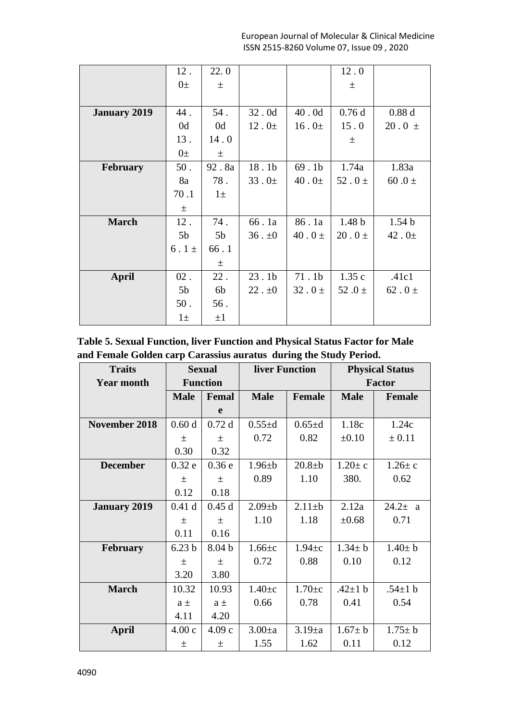|                     | 12.            | 22.0           |                   |                   | 12.0              |                   |
|---------------------|----------------|----------------|-------------------|-------------------|-------------------|-------------------|
|                     | $0\pm$         | $\pm$          |                   |                   | 土                 |                   |
|                     |                |                |                   |                   |                   |                   |
| <b>January 2019</b> | 44.            | 54.            | 32.0d             | 40.0d             | 0.76d             | 0.88d             |
|                     | 0d             | 0d             | $12.0\pm$         | 16.0 <sub>±</sub> | 15.0              | $20.0 \pm$        |
|                     | 13.            | 14.0           |                   |                   | 土                 |                   |
|                     | $0\pm$         | $\pm$          |                   |                   |                   |                   |
| <b>February</b>     | 50.            | 92.8a          | 18.1b             | 69.1 <sub>b</sub> | 1.74a             | 1.83a             |
|                     | 8a             | 78.            | $33.0\pm$         | 40.0 <sub>±</sub> | 52.0 $\pm$        | 60.0 $\pm$        |
|                     | 70.1           | $1\pm$         |                   |                   |                   |                   |
|                     | $\pm$          |                |                   |                   |                   |                   |
| <b>March</b>        | 12.            | 74.            | 66.1a             | 86.1a             | 1.48 <sub>b</sub> | 1.54 <sub>b</sub> |
|                     | 5 <sub>b</sub> | 5 <sub>b</sub> | $36$ . $\pm 0$    | 40.0 $\pm$        | $20.0 \pm$        | $42.0 \pm$        |
|                     | $6.1 \pm$      | 66.1           |                   |                   |                   |                   |
|                     |                | 土              |                   |                   |                   |                   |
| April               | $02$ .         | $22$ .         | 23.1 <sub>b</sub> | 71.1 <sub>b</sub> | 1.35c             | .41c1             |
|                     | 5 <sub>b</sub> | 6b             | $22. \pm 0$       | 32.0 $\pm$        | 52.0 $\pm$        | 62.0 $\pm$        |
|                     | $50$ .         | 56.            |                   |                   |                   |                   |
|                     | $1\pm$         | $\pm 1$        |                   |                   |                   |                   |

**Table 5. Sexual Function, liver Function and Physical Status Factor for Male and Female Golden carp Carassius auratus during the Study Period.**

| <b>Traits</b>       |                   | <b>Sexual</b>     | liver Function |               | <b>Physical Status</b> |               |
|---------------------|-------------------|-------------------|----------------|---------------|------------------------|---------------|
| <b>Year month</b>   |                   | <b>Function</b>   |                |               | <b>Factor</b>          |               |
|                     | <b>Male</b>       | Femal             | <b>Male</b>    | <b>Female</b> | <b>Male</b>            | <b>Female</b> |
|                     |                   | e                 |                |               |                        |               |
| November 2018       | 0.60d             | 0.72d             | $0.55 \pm d$   | $0.65 \pm d$  | 1.18c                  | 1.24c         |
|                     | 土                 | $\pm$             | 0.72           | 0.82          | $\pm 0.10$             | ± 0.11        |
|                     | 0.30              | 0.32              |                |               |                        |               |
| <b>December</b>     | 0.32e             | 0.36e             | $1.96 \pm b$   | $20.8 + b$    | $1.20 \pm c$           | $1.26 \pm c$  |
|                     | 土                 | 土                 | 0.89           | 1.10          | 380.                   | 0.62          |
|                     | 0.12              | 0.18              |                |               |                        |               |
| <b>January 2019</b> | 0.41d             | 0.45d             | $2.09 + b$     | $2.11 \pm b$  | 2.12a                  | $24.2 \pm a$  |
|                     | $\pm$             | 土                 | 1.10           | 1.18          | $\pm 0.68$             | 0.71          |
|                     | 0.11              | 0.16              |                |               |                        |               |
| <b>February</b>     | 6.23 <sub>b</sub> | 8.04 <sub>b</sub> | $1.66 \pm c$   | $1.94 \pm c$  | $1.34 \pm b$           | $1.40 \pm b$  |
|                     | 土                 | 土                 | 0.72           | 0.88          | 0.10                   | 0.12          |
|                     | 3.20              | 3.80              |                |               |                        |               |
| <b>March</b>        | 10.32             | 10.93             | $1.40 \pm c$   | $1.70 \pm c$  | .42 $\pm$ 1 b          | .54 $\pm$ 1 b |
|                     | $a \pm$           | $a \pm$           | 0.66           | 0.78          | 0.41                   | 0.54          |
|                     | 4.11              | 4.20              |                |               |                        |               |
| <b>April</b>        | 4.00c             | 4.09c             | $3.00 \pm a$   | $3.19 \pm a$  | $1.67 \pm b$           | $1.75 \pm b$  |
|                     | 土                 | 土                 | 1.55           | 1.62          | 0.11                   | 0.12          |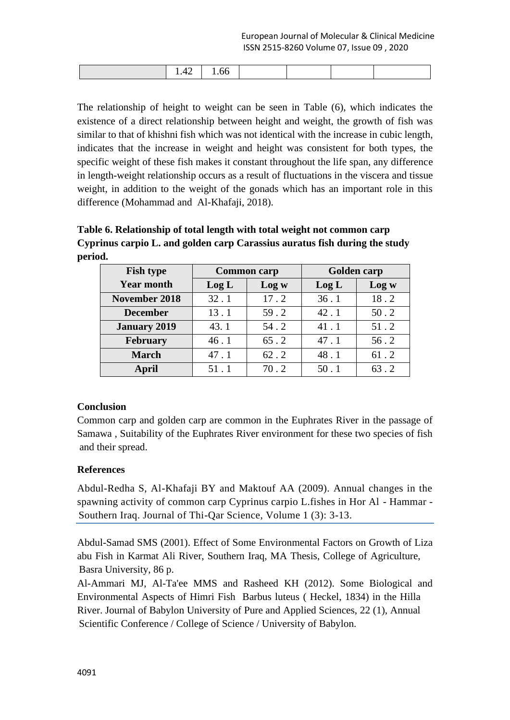|  |  | $\cdot$ $-$ |  |  |  |  |  |
|--|--|-------------|--|--|--|--|--|
|--|--|-------------|--|--|--|--|--|

The relationship of height to weight can be seen in Table (6), which indicates the existence of a direct relationship between height and weight, the growth of fish was similar to that of khishni fish which was not identical with the increase in cubic length, indicates that the increase in weight and height was consistent for both types, the specific weight of these fish makes it constant throughout the life span, any difference in length-weight relationship occurs as a result of fluctuations in the viscera and tissue weight, in addition to the weight of the gonads which has an important role in this difference (Mohammad and Al-Khafaji, 2018).

**Table 6. Relationship of total length with total weight not common carp Cyprinus carpio L. and golden carp Carassius auratus fish during the study period.**

| <b>Fish type</b>     |       | <b>Common carp</b> | <b>Golden carp</b> |        |  |
|----------------------|-------|--------------------|--------------------|--------|--|
| <b>Year month</b>    | Log L | Log w              | Log L              | Log w  |  |
| <b>November 2018</b> | 32.1  | 17.2               | 36.1               | 18.2   |  |
| <b>December</b>      | 13.1  | 59.2               | 42.1               | $50.2$ |  |
| <b>January 2019</b>  | 43.1  | 54.2               | 41.1               | $51.2$ |  |
| <b>February</b>      | 46.1  | $65.2$             | 47.1               | 56.2   |  |
| <b>March</b>         | 47.1  | 62.2               | 48.1               | 61.2   |  |
| <b>April</b>         | 51.1  | 70.2               | 50.1               | 63.2   |  |

# **Conclusion**

Common carp and golden carp are common in the Euphrates River in the passage of Samawa , Suitability of the Euphrates River environment for these two species of fish and their spread.

# **References**

Abdul-Redha S, Al-Khafaji BY and Maktouf AA (2009). Annual changes in the spawning activity of common carp Cyprinus carpio L.fishes in Hor Al - Hammar - Southern Iraq. Journal of Thi-Qar Science, Volume 1 (3): 3-13.

Abdul-Samad SMS (2001). Effect of Some Environmental Factors on Growth of Liza abu Fish in Karmat Ali River, Southern Iraq, MA Thesis, College of Agriculture, Basra University, 86 p.

Al-Ammari MJ, Al-Ta'ee MMS and Rasheed KH (2012). Some Biological and Environmental Aspects of Himri Fish Barbus luteus ( Heckel, 1834) in the Hilla River. Journal of Babylon University of Pure and Applied Sciences, 22 (1), Annual Scientific Conference / College of Science / University of Babylon.